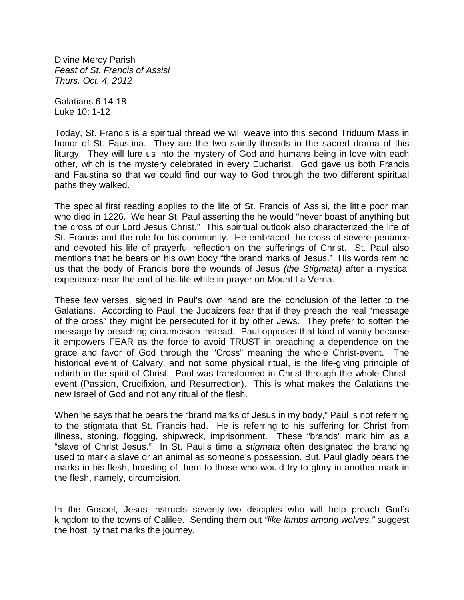Divine Mercy Parish *Feast of St. Francis of Assisi Thurs. Oct. 4, 2012*

Galatians 6:14-18 Luke 10: 1-12

Today, St. Francis is a spiritual thread we will weave into this second Triduum Mass in honor of St. Faustina. They are the two saintly threads in the sacred drama of this liturgy. They will lure us into the mystery of God and humans being in love with each other, which is the mystery celebrated in every Eucharist. God gave us both Francis and Faustina so that we could find our way to God through the two different spiritual paths they walked.

The special first reading applies to the life of St. Francis of Assisi, the little poor man who died in 1226. We hear St. Paul asserting the he would "never boast of anything but the cross of our Lord Jesus Christ." This spiritual outlook also characterized the life of St. Francis and the rule for his community. He embraced the cross of severe penance and devoted his life of prayerful reflection on the sufferings of Christ. St. Paul also mentions that he bears on his own body "the brand marks of Jesus." His words remind us that the body of Francis bore the wounds of Jesus *(the Stigmata)* after a mystical experience near the end of his life while in prayer on Mount La Verna.

These few verses, signed in Paul's own hand are the conclusion of the letter to the Galatians. According to Paul, the Judaizers fear that if they preach the real "message of the cross" they might be persecuted for it by other Jews. They prefer to soften the message by preaching circumcision instead. Paul opposes that kind of vanity because it empowers FEAR as the force to avoid TRUST in preaching a dependence on the grace and favor of God through the "Cross" meaning the whole Christ-event. The historical event of Calvary, and not some physical ritual, is the life-giving principle of rebirth in the spirit of Christ. Paul was transformed in Christ through the whole Christevent (Passion, Crucifixion, and Resurrection). This is what makes the Galatians the new Israel of God and not any ritual of the flesh.

When he says that he bears the "brand marks of Jesus in my body," Paul is not referring to the stigmata that St. Francis had. He is referring to his suffering for Christ from illness, stoning, flogging, shipwreck, imprisonment. These "brands" mark him as a "slave of Christ Jesus." In St. Paul's time a *stigmata* often designated the branding used to mark a slave or an animal as someone's possession. But, Paul gladly bears the marks in his flesh, boasting of them to those who would try to glory in another mark in the flesh, namely, circumcision.

In the Gospel, Jesus instructs seventy-two disciples who will help preach God's kingdom to the towns of Galilee. Sending them out *"like lambs among wolves,"* suggest the hostility that marks the journey.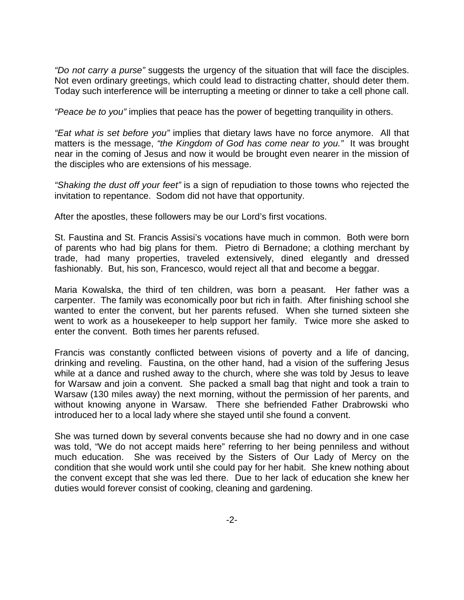*"Do not carry a purse"* suggests the urgency of the situation that will face the disciples. Not even ordinary greetings, which could lead to distracting chatter, should deter them. Today such interference will be interrupting a meeting or dinner to take a cell phone call.

*"Peace be to you"* implies that peace has the power of begetting tranquility in others.

*"Eat what is set before you"* implies that dietary laws have no force anymore. All that matters is the message, *"the Kingdom of God has come near to you."* It was brought near in the coming of Jesus and now it would be brought even nearer in the mission of the disciples who are extensions of his message.

*"Shaking the dust off your feet"* is a sign of repudiation to those towns who rejected the invitation to repentance. Sodom did not have that opportunity.

After the apostles, these followers may be our Lord's first vocations.

St. Faustina and St. Francis Assisi's vocations have much in common. Both were born of parents who had big plans for them. Pietro di Bernadone; a clothing merchant by trade, had many properties, traveled extensively, dined elegantly and dressed fashionably. But, his son, Francesco, would reject all that and become a beggar.

Maria Kowalska, the third of ten children, was born a peasant. Her father was a carpenter. The family was economically poor but rich in faith. After finishing school she wanted to enter the convent, but her parents refused. When she turned sixteen she went to work as a housekeeper to help support her family. Twice more she asked to enter the convent. Both times her parents refused.

Francis was constantly conflicted between visions of poverty and a life of dancing, drinking and reveling. Faustina, on the other hand, had a vision of the suffering Jesus while at a dance and rushed away to the church, where she was told by Jesus to leave for Warsaw and join a convent. She packed a small bag that night and took a train to Warsaw (130 miles away) the next morning, without the permission of her parents, and without knowing anyone in Warsaw. There she befriended Father Drabrowski who introduced her to a local lady where she stayed until she found a convent.

She was turned down by several convents because she had no dowry and in one case was told, "We do not accept maids here" referring to her being penniless and without much education. She was received by the Sisters of Our Lady of Mercy on the condition that she would work until she could pay for her habit. She knew nothing about the convent except that she was led there. Due to her lack of education she knew her duties would forever consist of cooking, cleaning and gardening.